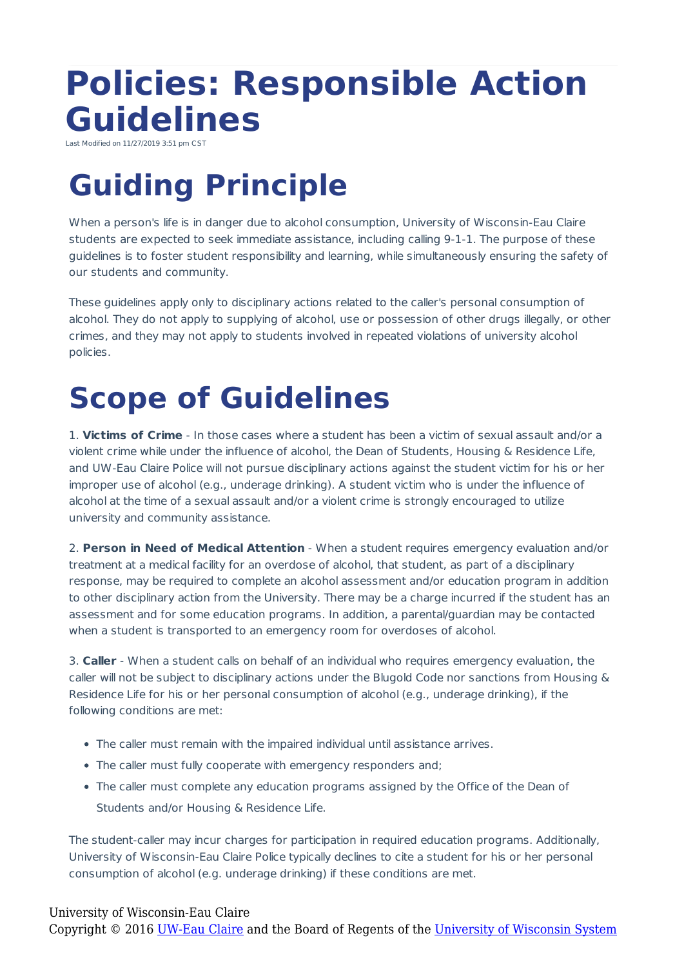## **Policies: Responsible Action Guidelines**

Last Modified on 11/27/2019 3:51

## **Guiding Principle**

When a person's life is in danger due to alcohol consumption, University of Wisconsin-Eau Claire students are expected to seek immediate assistance, including calling 9-1-1. The purpose of these guidelines is to foster student responsibility and learning, while simultaneously ensuring the safety of our students and community.

These guidelines apply only to disciplinary actions related to the caller's personal consumption of alcohol. They do not apply to supplying of alcohol, use or possession of other drugs illegally, or other crimes, and they may not apply to students involved in repeated violations of university alcohol policies.

## **Scope of Guidelines**

1. **Victims of Crime** - In those cases where a student has been a victim of sexual assault and/or a violent crime while under the influence of alcohol, the Dean of Students, Housing & Residence Life, and UW-Eau Claire Police will not pursue disciplinary actions against the student victim for his or her improper use of alcohol (e.g., underage drinking). A student victim who is under the influence of alcohol at the time of a sexual assault and/or a violent crime is strongly encouraged to utilize university and community assistance.

2. **Person in Need of Medical Attention** - When a student requires emergency evaluation and/or treatment at a medical facility for an overdose of alcohol, that student, as part of a disciplinary response, may be required to complete an alcohol assessment and/or education program in addition to other disciplinary action from the University. There may be a charge incurred if the student has an assessment and for some education programs. In addition, a parental/guardian may be contacted when a student is transported to an emergency room for overdoses of alcohol.

3. **Caller** - When a student calls on behalf of an individual who requires emergency evaluation, the caller will not be subject to disciplinary actions under the Blugold Code nor sanctions from Housing & Residence Life for his or her personal consumption of alcohol (e.g., underage drinking), if the following conditions are met:

- The caller must remain with the impaired individual until assistance arrives.
- The caller must fully cooperate with emergency responders and;
- The caller must complete any education programs assigned by the Office of the Dean of Students and/or Housing & Residence Life.

The student-caller may incur charges for participation in required education programs. Additionally, University of Wisconsin-Eau Claire Police typically declines to cite a student for his or her personal consumption of alcohol (e.g. underage drinking) if these conditions are met.

## University of Wisconsin-Eau Claire

Copyright © 2016 [UW-Eau Claire](http://www.uwec.edu) and the Board of Regents of the [University of Wisconsin System](http://www.uwsa.edu/)